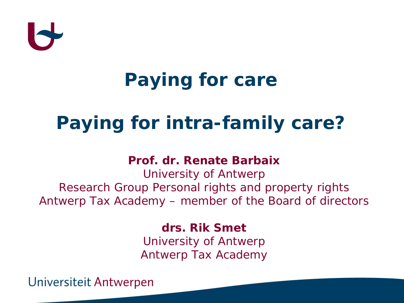

# **Paying for care**

## **Paying for intra-family care?**

#### **Prof. dr. Renate Barbaix**

University of Antwerp Research Group Personal rights and property rights Antwerp Tax Academy – member of the Board of directors

> **drs. Rik Smet**  University of Antwerp Antwerp Tax Academy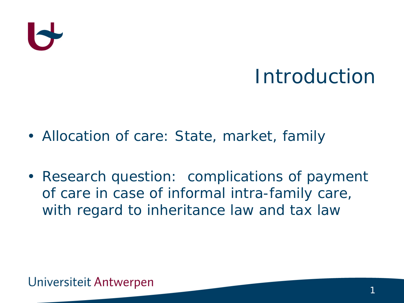

### Introduction

- Allocation of care: State, market, family
- Research question: complications of payment of care in case of informal intra-family care, with regard to inheritance law and tax law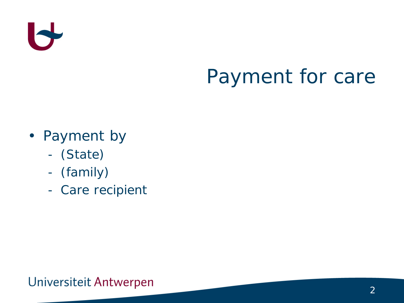

# Payment for care

- Payment by
	- (State)
	- (family)
	- Care recipient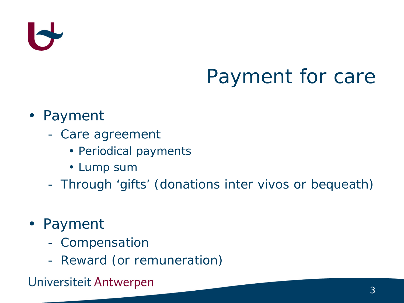

# Payment for care

#### • Payment

- Care agreement
	- Periodical payments
	- Lump sum
- Through 'gifts' (donations inter vivos or bequeath)
- Payment
	- Compensation
	- Reward (or remuneration)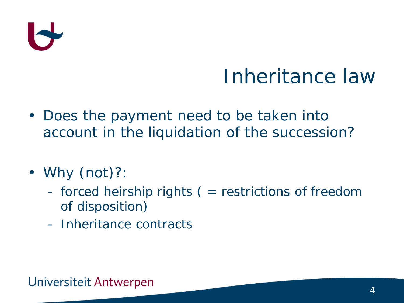

### Inheritance law

- Does the payment need to be taken into account in the liquidation of the succession?
- Why (not)?:
	- forced heirship rights ( = restrictions of freedom of disposition)
	- Inheritance contracts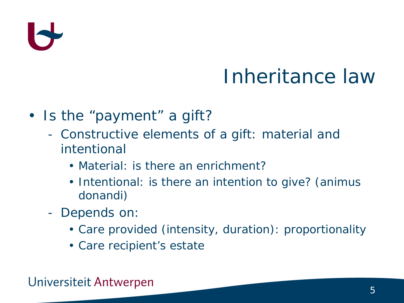

# Inheritance law

- Is the "payment" a gift?
	- Constructive elements of a gift: material and intentional
		- Material: is there an enrichment?
		- Intentional: is there an intention to give? (animus donandi)
	- Depends on:
		- Care provided (intensity, duration): proportionality
		- Care recipient's estate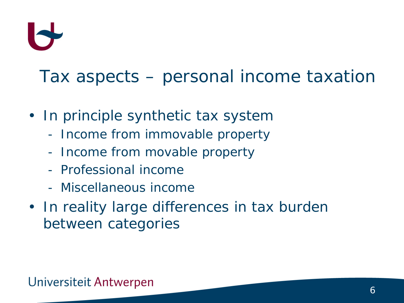

- In principle synthetic tax system
	- Income from immovable property
	- Income from movable property
	- Professional income
	- Miscellaneous income
- In reality large differences in tax burden between categories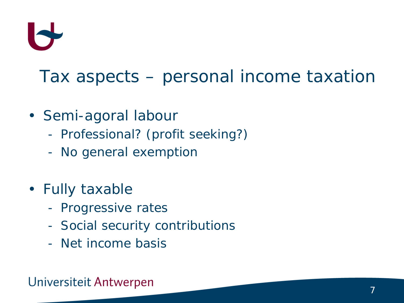

- Semi-agoral labour
	- Professional? (profit seeking?)
	- No general exemption
- Fully taxable
	- Progressive rates
	- Social security contributions
	- Net income basis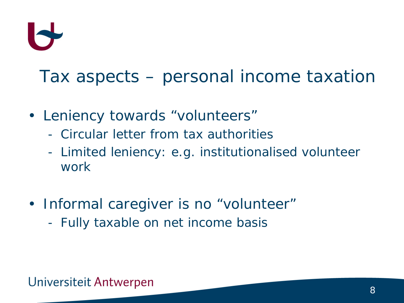

- Leniency towards "volunteers"
	- Circular letter from tax authorities
	- Limited leniency: e.g. institutionalised volunteer work
- *Informal* caregiver is no "volunteer"
	- Fully taxable on net income basis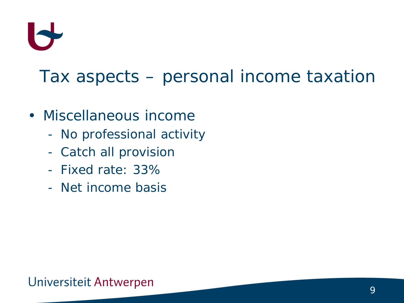

- Miscellaneous income
	- No professional activity
	- Catch all provision
	- Fixed rate: 33%
	- Net income basis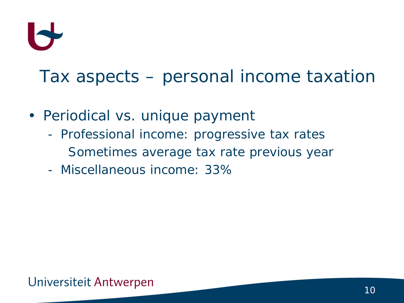

- Periodical vs. unique payment
	- Professional income: progressive tax rates Sometimes average tax rate previous year
	- Miscellaneous income: 33%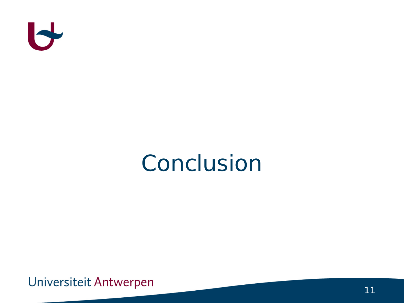

# Conclusion